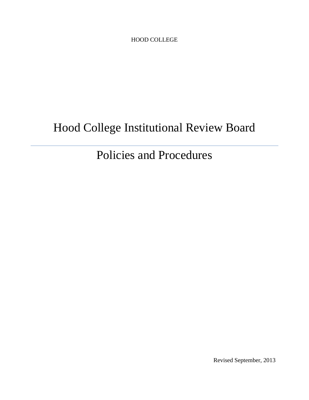HOOD COLLEGE

# Hood College Institutional Review Board

# Policies and Procedures

Revised September, 2013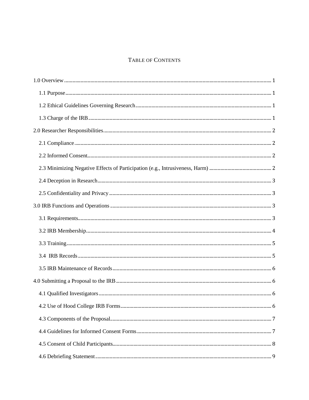# TABLE OF CONTENTS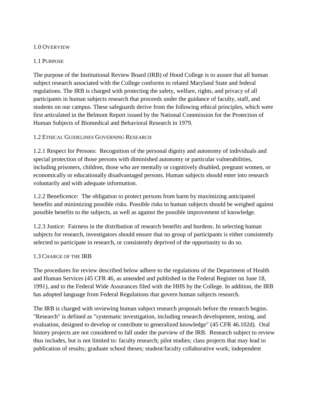#### <span id="page-3-0"></span>1.0 OVERVIEW

#### <span id="page-3-1"></span>1.1 PURPOSE

The purpose of the Institutional Review Board (IRB) of Hood College is to assure that all human subject research associated with the College conforms to related Maryland State and federal regulations. The IRB is charged with protecting the safety, welfare, rights, and privacy of all participants in human subjects research that proceeds under the guidance of faculty, staff, and students on our campus. These safeguards derive from the following ethical principles, which were first articulated in the Belmont Report issued by the National Commission for the Protection of Human Subjects of Biomedical and Behavioral Research in 1979.

## <span id="page-3-2"></span>1.2 ETHICAL GUIDELINES GOVERNING RESEARCH

1.2.1 Respect for Persons: Recognition of the personal dignity and autonomy of individuals and special protection of those persons with diminished autonomy or particular vulnerabilities, including prisoners, children, those who are mentally or cognitively disabled, pregnant women, or economically or educationally disadvantaged persons. Human subjects should enter into research voluntarily and with adequate information.

1.2.2 Beneficence: The obligation to protect persons from harm by maximizing anticipated benefits and minimizing possible risks. Possible risks to human subjects should be weighed against possible benefits to the subjects, as well as against the possible improvement of knowledge.

1.2.3 Justice: Fairness in the distribution of research benefits and burdens. In selecting human subjects for research, investigators should ensure that no group of participants is either consistently selected to participate in research, or consistently deprived of the opportunity to do so.

#### <span id="page-3-3"></span>1.3 CHARGE OF THE IRB

The procedures for review described below adhere to the regulations of the Department of Health and Human Services (45 CFR 46, as amended and published in the Federal Register on June 18, 1991), and to the Federal Wide Assurances filed with the HHS by the College. In addition, the IRB has adopted language from Federal Regulations that govern human subjects research.

The IRB is charged with reviewing human subject research proposals before the research begins. "Research" is defined as "systematic investigation, including research development, testing, and evaluation, designed to develop or contribute to generalized knowledge" (45 CFR 46.102d). Oral history projects are not considered to fall under the purview of the IRB. Research subject to review thus includes, but is not limited to: faculty research; pilot studies; class projects that may lead to publication of results; graduate school theses; student/faculty collaborative work; independent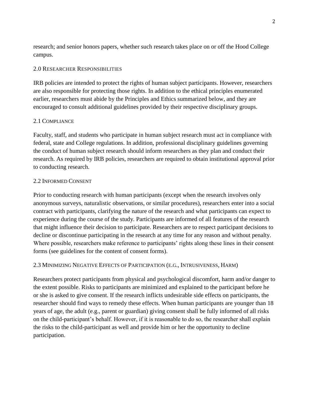research; and senior honors papers, whether such research takes place on or off the Hood College campus.

#### <span id="page-4-0"></span>2.0 RESEARCHER RESPONSIBILITIES

IRB policies are intended to protect the rights of human subject participants. However, researchers are also responsible for protecting those rights. In addition to the ethical principles enumerated earlier, researchers must abide by the Principles and Ethics summarized below, and they are encouraged to consult additional guidelines provided by their respective disciplinary groups.

#### <span id="page-4-1"></span>2.1 COMPLIANCE

Faculty, staff, and students who participate in human subject research must act in compliance with federal, state and College regulations. In addition, professional disciplinary guidelines governing the conduct of human subject research should inform researchers as they plan and conduct their research. As required by IRB policies, researchers are required to obtain institutional approval prior to conducting research.

#### <span id="page-4-2"></span>2.2 INFORMED CONSENT

Prior to conducting research with human participants (except when the research involves only anonymous surveys, naturalistic observations, or similar procedures), researchers enter into a social contract with participants, clarifying the nature of the research and what participants can expect to experience during the course of the study. Participants are informed of all features of the research that might influence their decision to participate. Researchers are to respect participant decisions to decline or discontinue participating in the research at any time for any reason and without penalty. Where possible, researchers make reference to participants' rights along these lines in their consent forms (see guidelines for the content of consent forms).

## <span id="page-4-3"></span>2.3 MINIMIZING NEGATIVE EFFECTS OF PARTICIPATION (E.G., INTRUSIVENESS, HARM)

Researchers protect participants from physical and psychological discomfort, harm and/or danger to the extent possible. Risks to participants are minimized and explained to the participant before he or she is asked to give consent. If the research inflicts undesirable side effects on participants, the researcher should find ways to remedy these effects. When human participants are younger than 18 years of age, the adult (e.g., parent or guardian) giving consent shall be fully informed of all risks on the child-participant's behalf. However, if it is reasonable to do so, the researcher shall explain the risks to the child-participant as well and provide him or her the opportunity to decline participation.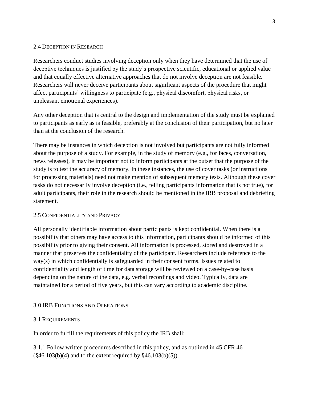#### <span id="page-5-0"></span>2.4 DECEPTION IN RESEARCH

Researchers conduct studies involving deception only when they have determined that the use of deceptive techniques is justified by the study's prospective scientific, educational or applied value and that equally effective alternative approaches that do not involve deception are not feasible. Researchers will never deceive participants about significant aspects of the procedure that might affect participants' willingness to participate (e.g., physical discomfort, physical risks, or unpleasant emotional experiences).

Any other deception that is central to the design and implementation of the study must be explained to participants as early as is feasible, preferably at the conclusion of their participation, but no later than at the conclusion of the research.

There may be instances in which deception is not involved but participants are not fully informed about the purpose of a study. For example, in the study of memory (e.g., for faces, conversation, news releases), it may be important not to inform participants at the outset that the purpose of the study is to test the accuracy of memory. In these instances, the use of cover tasks (or instructions for processing materials) need not make mention of subsequent memory tests. Although these cover tasks do not necessarily involve deception (i.e., telling participants information that is not true), for adult participants, their role in the research should be mentioned in the IRB proposal and debriefing statement.

#### <span id="page-5-1"></span>2.5 CONFIDENTIALITY AND PRIVACY

All personally identifiable information about participants is kept confidential. When there is a possibility that others may have access to this information, participants should be informed of this possibility prior to giving their consent. All information is processed, stored and destroyed in a manner that preserves the confidentiality of the participant. Researchers include reference to the way(s) in which confidentially is safeguarded in their consent forms. Issues related to confidentiality and length of time for data storage will be reviewed on a case-by-case basis depending on the nature of the data, e.g. verbal recordings and video. Typically, data are maintained for a period of five years, but this can vary according to academic discipline.

#### <span id="page-5-2"></span>3.0 IRB FUNCTIONS AND OPERATIONS

#### <span id="page-5-3"></span>3.1 REQUIREMENTS

In order to fulfill the requirements of this policy the IRB shall:

3.1.1 Follow written procedures described in this policy, and as outlined in 45 CFR 46  $(\frac{246.103(b)(4)}{4}$  and to the extent required by  $\frac{246.103(b)(5)}{5}$ .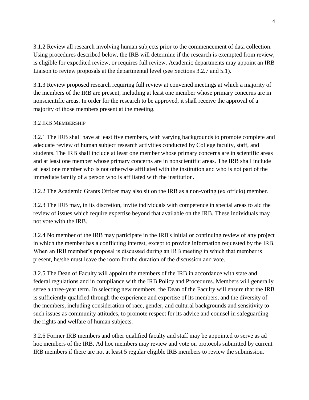3.1.2 Review all research involving human subjects prior to the commencement of data collection. Using procedures described below, the IRB will determine if the research is exempted from review, is eligible for expedited review, or requires full review. Academic departments may appoint an IRB Liaison to review proposals at the departmental level (see Sections 3.2.7 and 5.1).

3.1.3 Review proposed research requiring full review at convened meetings at which a majority of the members of the IRB are present, including at least one member whose primary concerns are in nonscientific areas. In order for the research to be approved, it shall receive the approval of a majority of those members present at the meeting.

## <span id="page-6-0"></span>3.2 IRB MEMBERSHIP

3.2.1 The IRB shall have at least five members, with varying backgrounds to promote complete and adequate review of human subject research activities conducted by College faculty, staff, and students. The IRB shall include at least one member whose primary concerns are in scientific areas and at least one member whose primary concerns are in nonscientific areas. The IRB shall include at least one member who is not otherwise affiliated with the institution and who is not part of the immediate family of a person who is affiliated with the institution.

3.2.2 The Academic Grants Officer may also sit on the IRB as a non-voting (ex officio) member.

3.2.3 The IRB may, in its discretion, invite individuals with competence in special areas to aid the review of issues which require expertise beyond that available on the IRB. These individuals may not vote with the IRB.

3.2.4 No member of the IRB may participate in the IRB's initial or continuing review of any project in which the member has a conflicting interest, except to provide information requested by the IRB. When an IRB member's proposal is discussed during an IRB meeting in which that member is present, he/she must leave the room for the duration of the discussion and vote.

3.2.5 The Dean of Faculty will appoint the members of the IRB in accordance with state and federal regulations and in compliance with the IRB Policy and Procedures. Members will generally serve a three-year term. In selecting new members, the Dean of the Faculty will ensure that the IRB is sufficiently qualified through the experience and expertise of its members, and the diversity of the members, including consideration of race, gender, and cultural backgrounds and sensitivity to such issues as community attitudes, to promote respect for its advice and counsel in safeguarding the rights and welfare of human subjects.

3.2.6 Former IRB members and other qualified faculty and staff may be appointed to serve as ad hoc members of the IRB. Ad hoc members may review and vote on protocols submitted by current IRB members if there are not at least 5 regular eligible IRB members to review the submission.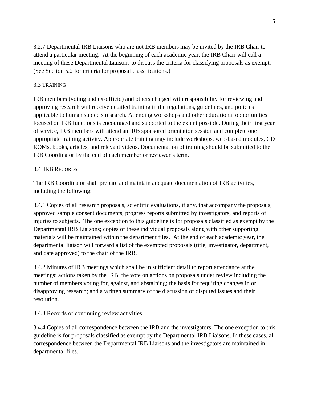3.2.7 Departmental IRB Liaisons who are not IRB members may be invited by the IRB Chair to attend a particular meeting. At the beginning of each academic year, the IRB Chair will call a meeting of these Departmental Liaisons to discuss the criteria for classifying proposals as exempt. (See Section 5.2 for criteria for proposal classifications.)

# <span id="page-7-0"></span>3.3 TRAINING

IRB members (voting and ex-officio) and others charged with responsibility for reviewing and approving research will receive detailed training in the regulations, guidelines, and policies applicable to human subjects research. Attending workshops and other educational opportunities focused on IRB functions is encouraged and supported to the extent possible. During their first year of service, IRB members will attend an IRB sponsored orientation session and complete one appropriate training activity. Appropriate training may include workshops, web-based modules, CD ROMs, books, articles, and relevant videos. Documentation of training should be submitted to the IRB Coordinator by the end of each member or reviewer's term.

## <span id="page-7-1"></span>3.4 IRB RECORDS

The IRB Coordinator shall prepare and maintain adequate documentation of IRB activities, including the following:

3.4.1 Copies of all research proposals, scientific evaluations, if any, that accompany the proposals, approved sample consent documents, progress reports submitted by investigators, and reports of injuries to subjects. The one exception to this guideline is for proposals classified as exempt by the Departmental IRB Liaisons; copies of these individual proposals along with other supporting materials will be maintained within the department files. At the end of each academic year, the departmental liaison will forward a list of the exempted proposals (title, investigator, department, and date approved) to the chair of the IRB.

3.4.2 Minutes of IRB meetings which shall be in sufficient detail to report attendance at the meetings; actions taken by the IRB; the vote on actions on proposals under review including the number of members voting for, against, and abstaining; the basis for requiring changes in or disapproving research; and a written summary of the discussion of disputed issues and their resolution.

3.4.3 Records of continuing review activities.

3.4.4 Copies of all correspondence between the IRB and the investigators. The one exception to this guideline is for proposals classified as exempt by the Departmental IRB Liaisons. In these cases, all correspondence between the Departmental IRB Liaisons and the investigators are maintained in departmental files.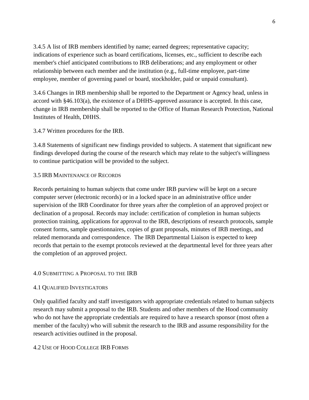3.4.5 A list of IRB members identified by name; earned degrees; representative capacity; indications of experience such as board certifications, licenses, etc., sufficient to describe each member's chief anticipated contributions to IRB deliberations; and any employment or other relationship between each member and the institution (e.g., full-time employee, part-time employee, member of governing panel or board, stockholder, paid or unpaid consultant).

3.4.6 Changes in IRB membership shall be reported to the Department or Agency head, unless in accord with §46.103(a), the existence of a DHHS-approved assurance is accepted. In this case, change in IRB membership shall be reported to the Office of Human Research Protection, National Institutes of Health, DHHS.

3.4.7 Written procedures for the IRB.

3.4.8 Statements of significant new findings provided to subjects. A statement that significant new findings developed during the course of the research which may relate to the subject's willingness to continue participation will be provided to the subject.

# <span id="page-8-0"></span>3.5 IRB MAINTENANCE OF RECORDS

Records pertaining to human subjects that come under IRB purview will be kept on a secure computer server (electronic records) or in a locked space in an administrative office under supervision of the IRB Coordinator for three years after the completion of an approved project or declination of a proposal. Records may include: certification of completion in human subjects protection training, applications for approval to the IRB, descriptions of research protocols, sample consent forms, sample questionnaires, copies of grant proposals, minutes of IRB meetings, and related memoranda and correspondence. The IRB Departmental Liaison is expected to keep records that pertain to the exempt protocols reviewed at the departmental level for three years after the completion of an approved project.

# <span id="page-8-1"></span>4.0 SUBMITTING A PROPOSAL TO THE IRB

## <span id="page-8-2"></span>4.1 QUALIFIED INVESTIGATORS

Only qualified faculty and staff investigators with appropriate credentials related to human subjects research may submit a proposal to the IRB. Students and other members of the Hood community who do not have the appropriate credentials are required to have a research sponsor (most often a member of the faculty) who will submit the research to the IRB and assume responsibility for the research activities outlined in the proposal.

# <span id="page-8-3"></span>4.2 USE OF HOOD COLLEGE IRB FORMS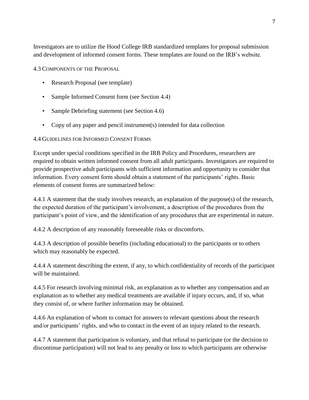Investigators are to utilize the Hood College IRB standardized templates for proposal submission and development of informed consent forms. These templates are found on the IRB's website.

<span id="page-9-0"></span>4.3 COMPONENTS OF THE PROPOSAL

- Research Proposal (see template)
- Sample Informed Consent form (see Section 4.4)
- Sample Debriefing statement (see Section 4.6)
- Copy of any paper and pencil instrument(s) intended for data collection

#### <span id="page-9-1"></span>4.4 GUIDELINES FOR INFORMED CONSENT FORMS

Except under special conditions specified in the IRB Policy and Procedures, researchers are required to obtain written informed consent from all adult participants. Investigators are required to provide prospective adult participants with sufficient information and opportunity to consider that information. Every consent form should obtain a statement of the participants' rights. Basic elements of consent forms are summarized below:

4.4.1 A statement that the study involves research, an explanation of the purpose(s) of the research, the expected duration of the participant's involvement, a description of the procedures from the participant's point of view, and the identification of any procedures that are experimental in nature.

4.4.2 A description of any reasonably foreseeable risks or discomforts.

4.4.3 A description of possible benefits (including educational) to the participants or to others which may reasonably be expected.

4.4.4 A statement describing the extent, if any, to which confidentiality of records of the participant will be maintained.

4.4.5 For research involving minimal risk, an explanation as to whether any compensation and an explanation as to whether any medical treatments are available if injury occurs, and, if so, what they consist of, or where further information may be obtained.

4.4.6 An explanation of whom to contact for answers to relevant questions about the research and/or participants' rights, and who to contact in the event of an injury related to the research.

4.4.7 A statement that participation is voluntary, and that refusal to participate (or the decision to discontinue participation) will not lead to any penalty or loss to which participants are otherwise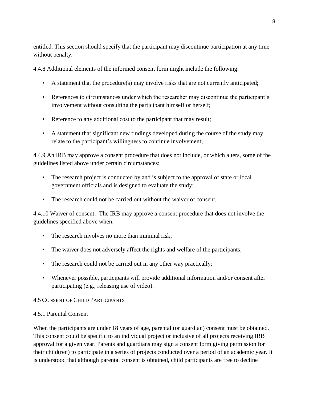entitled. This section should specify that the participant may discontinue participation at any time without penalty.

4.4.8 Additional elements of the informed consent form might include the following:

- A statement that the procedure(s) may involve risks that are not currently anticipated;
- References to circumstances under which the researcher may discontinue the participant's involvement without consulting the participant himself or herself;
- Reference to any additional cost to the participant that may result;
- A statement that significant new findings developed during the course of the study may relate to the participant's willingness to continue involvement;

4.4.9 An IRB may approve a consent procedure that does not include, or which alters, some of the guidelines listed above under certain circumstances:

- The research project is conducted by and is subject to the approval of state or local government officials and is designed to evaluate the study;
- The research could not be carried out without the waiver of consent.

4.4.10 Waiver of consent: The IRB may approve a consent procedure that does not involve the guidelines specified above when:

- The research involves no more than minimal risk;
- The waiver does not adversely affect the rights and welfare of the participants;
- The research could not be carried out in any other way practically;
- Whenever possible, participants will provide additional information and/or consent after participating (e.g., releasing use of video).

# <span id="page-10-0"></span>4.5 CONSENT OF CHILD PARTICIPANTS

# 4.5.1 Parental Consent

When the participants are under 18 years of age, parental (or guardian) consent must be obtained. This consent could be specific to an individual project or inclusive of all projects receiving IRB approval for a given year. Parents and guardians may sign a consent form giving permission for their child(ren) to participate in a series of projects conducted over a period of an academic year. It is understood that although parental consent is obtained, child participants are free to decline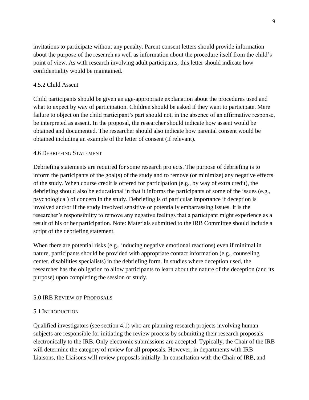invitations to participate without any penalty. Parent consent letters should provide information about the purpose of the research as well as information about the procedure itself from the child's point of view. As with research involving adult participants, this letter should indicate how confidentiality would be maintained.

## 4.5.2 Child Assent

Child participants should be given an age-appropriate explanation about the procedures used and what to expect by way of participation. Children should be asked if they want to participate. Mere failure to object on the child participant's part should not, in the absence of an affirmative response, be interpreted as assent. In the proposal, the researcher should indicate how assent would be obtained and documented. The researcher should also indicate how parental consent would be obtained including an example of the letter of consent (if relevant).

#### <span id="page-11-0"></span>4.6 DEBRIEFING STATEMENT

Debriefing statements are required for some research projects. The purpose of debriefing is to inform the participants of the goal(s) of the study and to remove (or minimize) any negative effects of the study. When course credit is offered for participation (e.g., by way of extra credit), the debriefing should also be educational in that it informs the participants of some of the issues (e.g., psychological) of concern in the study. Debriefing is of particular importance if deception is involved and/or if the study involved sensitive or potentially embarrassing issues. It is the researcher's responsibility to remove any negative feelings that a participant might experience as a result of his or her participation. Note: Materials submitted to the IRB Committee should include a script of the debriefing statement.

When there are potential risks (e.g., inducing negative emotional reactions) even if minimal in nature, participants should be provided with appropriate contact information (e.g., counseling center, disabilities specialists) in the debriefing form. In studies where deception used, the researcher has the obligation to allow participants to learn about the nature of the deception (and its purpose) upon completing the session or study.

## <span id="page-11-1"></span>5.0 IRB REVIEW OF PROPOSALS

#### <span id="page-11-2"></span>5.1 INTRODUCTION

Qualified investigators (see section 4.1) who are planning research projects involving human subjects are responsible for initiating the review process by submitting their research proposals electronically to the IRB. Only electronic submissions are accepted. Typically, the Chair of the IRB will determine the category of review for all proposals. However, in departments with IRB Liaisons, the Liaisons will review proposals initially. In consultation with the Chair of IRB, and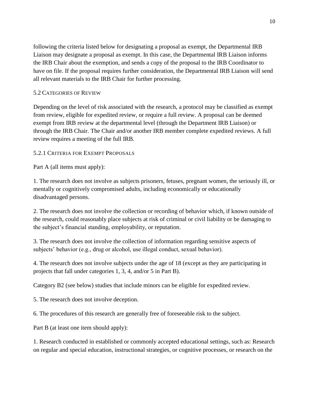following the criteria listed below for designating a proposal as exempt, the Departmental IRB Liaison may designate a proposal as exempt. In this case, the Departmental IRB Liaison informs the IRB Chair about the exemption, and sends a copy of the proposal to the IRB Coordinator to have on file. If the proposal requires further consideration, the Departmental IRB Liaison will send all relevant materials to the IRB Chair for further processing.

# <span id="page-12-0"></span>5.2 CATEGORIES OF REVIEW

Depending on the level of risk associated with the research, a protocol may be classified as exempt from review, eligible for expedited review, or require a full review. A proposal can be deemed exempt from IRB review at the departmental level (through the Department IRB Liaison) or through the IRB Chair. The Chair and/or another IRB member complete expedited reviews. A full review requires a meeting of the full IRB.

# <span id="page-12-1"></span>5.2.1 CRITERIA FOR EXEMPT PROPOSALS

Part A (all items must apply):

1. The research does not involve as subjects prisoners, fetuses, pregnant women, the seriously ill, or mentally or cognitively compromised adults, including economically or educationally disadvantaged persons.

2. The research does not involve the collection or recording of behavior which, if known outside of the research, could reasonably place subjects at risk of criminal or civil liability or be damaging to the subject's financial standing, employability, or reputation.

3. The research does not involve the collection of information regarding sensitive aspects of subjects' behavior (e.g., drug or alcohol, use illegal conduct, sexual behavior).

4. The research does not involve subjects under the age of 18 (except as they are participating in projects that fall under categories 1, 3, 4, and/or 5 in Part B).

Category B2 (see below) studies that include minors can be eligible for expedited review.

5. The research does not involve deception.

6. The procedures of this research are generally free of foreseeable risk to the subject.

Part B (at least one item should apply):

1. Research conducted in established or commonly accepted educational settings, such as: Research on regular and special education, instructional strategies, or cognitive processes, or research on the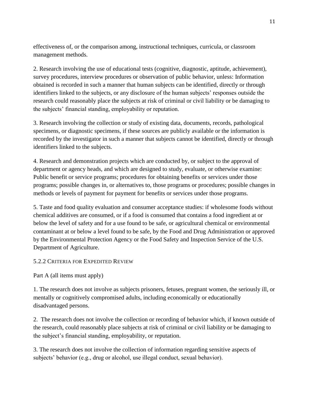effectiveness of, or the comparison among, instructional techniques, curricula, or classroom management methods.

2. Research involving the use of educational tests (cognitive, diagnostic, aptitude, achievement), survey procedures, interview procedures or observation of public behavior, unless: Information obtained is recorded in such a manner that human subjects can be identified, directly or through identifiers linked to the subjects, or any disclosure of the human subjects' responses outside the research could reasonably place the subjects at risk of criminal or civil liability or be damaging to the subjects' financial standing, employability or reputation.

3. Research involving the collection or study of existing data, documents, records, pathological specimens, or diagnostic specimens, if these sources are publicly available or the information is recorded by the investigator in such a manner that subjects cannot be identified, directly or through identifiers linked to the subjects.

4. Research and demonstration projects which are conducted by, or subject to the approval of department or agency heads, and which are designed to study, evaluate, or otherwise examine: Public benefit or service programs; procedures for obtaining benefits or services under those programs; possible changes in, or alternatives to, those programs or procedures; possible changes in methods or levels of payment for payment for benefits or services under those programs.

5. Taste and food quality evaluation and consumer acceptance studies: if wholesome foods without chemical additives are consumed, or if a food is consumed that contains a food ingredient at or below the level of safety and for a use found to be safe, or agricultural chemical or environmental contaminant at or below a level found to be safe, by the Food and Drug Administration or approved by the Environmental Protection Agency or the Food Safety and Inspection Service of the U.S. Department of Agriculture.

## <span id="page-13-0"></span>5.2.2 CRITERIA FOR EXPEDITED REVIEW

Part A (all items must apply)

1. The research does not involve as subjects prisoners, fetuses, pregnant women, the seriously ill, or mentally or cognitively compromised adults, including economically or educationally disadvantaged persons.

2. The research does not involve the collection or recording of behavior which, if known outside of the research, could reasonably place subjects at risk of criminal or civil liability or be damaging to the subject's financial standing, employability, or reputation.

3. The research does not involve the collection of information regarding sensitive aspects of subjects' behavior (e.g., drug or alcohol, use illegal conduct, sexual behavior).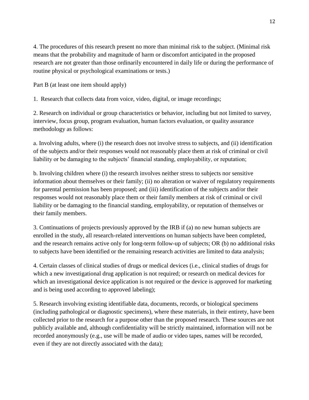4. The procedures of this research present no more than minimal risk to the subject. (Minimal risk means that the probability and magnitude of harm or discomfort anticipated in the proposed research are not greater than those ordinarily encountered in daily life or during the performance of routine physical or psychological examinations or tests.)

Part B (at least one item should apply)

1. Research that collects data from voice, video, digital, or image recordings;

2. Research on individual or group characteristics or behavior, including but not limited to survey, interview, focus group, program evaluation, human factors evaluation, or quality assurance methodology as follows:

a. Involving adults, where (i) the research does not involve stress to subjects, and (ii) identification of the subjects and/or their responses would not reasonably place them at risk of criminal or civil liability or be damaging to the subjects' financial standing, employability, or reputation;

b. Involving children where (i) the research involves neither stress to subjects nor sensitive information about themselves or their family; (ii) no alteration or waiver of regulatory requirements for parental permission has been proposed; and (iii) identification of the subjects and/or their responses would not reasonably place them or their family members at risk of criminal or civil liability or be damaging to the financial standing, employability, or reputation of themselves or their family members.

3. Continuations of projects previously approved by the IRB if (a) no new human subjects are enrolled in the study, all research-related interventions on human subjects have been completed, and the research remains active only for long-term follow-up of subjects; OR (b) no additional risks to subjects have been identified or the remaining research activities are limited to data analysis;

4. Certain classes of clinical studies of drugs or medical devices (i.e., clinical studies of drugs for which a new investigational drug application is not required; or research on medical devices for which an investigational device application is not required or the device is approved for marketing and is being used according to approved labeling);

5. Research involving existing identifiable data, documents, records, or biological specimens (including pathological or diagnostic specimens), where these materials, in their entirety, have been collected prior to the research for a purpose other than the proposed research. These sources are not publicly available and, although confidentiality will be strictly maintained, information will not be recorded anonymously (e.g., use will be made of audio or video tapes, names will be recorded, even if they are not directly associated with the data);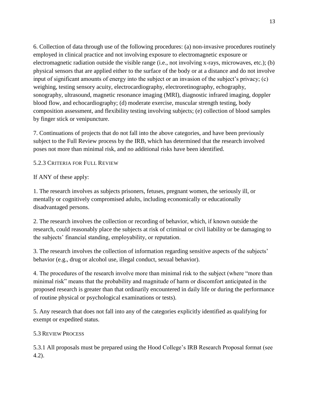6. Collection of data through use of the following procedures: (a) non-invasive procedures routinely employed in clinical practice and not involving exposure to electromagnetic exposure or electromagnetic radiation outside the visible range (i.e., not involving x-rays, microwaves, etc.); (b) physical sensors that are applied either to the surface of the body or at a distance and do not involve input of significant amounts of energy into the subject or an invasion of the subject's privacy; (c) weighing, testing sensory acuity, electrocardiography, electroretinography, echography, sonography, ultrasound, magnetic resonance imaging (MRI), diagnostic infrared imaging, doppler blood flow, and echocardiography; (d) moderate exercise, muscular strength testing, body composition assessment, and flexibility testing involving subjects; (e) collection of blood samples by finger stick or venipuncture.

7. Continuations of projects that do not fall into the above categories, and have been previously subject to the Full Review process by the IRB, which has determined that the research involved poses not more than minimal risk, and no additional risks have been identified.

<span id="page-15-0"></span>5.2.3 CRITERIA FOR FULL REVIEW

If ANY of these apply:

1. The research involves as subjects prisoners, fetuses, pregnant women, the seriously ill, or mentally or cognitively compromised adults, including economically or educationally disadvantaged persons.

2. The research involves the collection or recording of behavior, which, if known outside the research, could reasonably place the subjects at risk of criminal or civil liability or be damaging to the subjects' financial standing, employability, or reputation.

3. The research involves the collection of information regarding sensitive aspects of the subjects' behavior (e.g., drug or alcohol use, illegal conduct, sexual behavior).

4. The procedures of the research involve more than minimal risk to the subject (where "more than minimal risk" means that the probability and magnitude of harm or discomfort anticipated in the proposed research is greater than that ordinarily encountered in daily life or during the performance of routine physical or psychological examinations or tests).

5. Any research that does not fall into any of the categories explicitly identified as qualifying for exempt or expedited status.

## <span id="page-15-1"></span>5.3 REVIEW PROCESS

5.3.1 All proposals must be prepared using the Hood College's IRB Research Proposal format (see 4.2).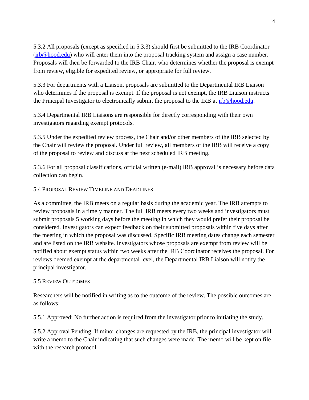5.3.2 All proposals (except as specified in 5.3.3) should first be submitted to the IRB Coordinator  $(irb@hood.edu)$  who will enter them into the proposal tracking system and assign a case number. Proposals will then be forwarded to the IRB Chair, who determines whether the proposal is exempt from review, eligible for expedited review, or appropriate for full review.

5.3.3 For departments with a Liaison, proposals are submitted to the Departmental IRB Liaison who determines if the proposal is exempt. If the proposal is not exempt, the IRB Liaison instructs the Principal Investigator to electronically submit the proposal to the IRB at [irb@hood.edu.](mailto:irb@hood.edu)

5.3.4 Departmental IRB Liaisons are responsible for directly corresponding with their own investigators regarding exempt protocols.

5.3.5 Under the expedited review process, the Chair and/or other members of the IRB selected by the Chair will review the proposal. Under full review, all members of the IRB will receive a copy of the proposal to review and discuss at the next scheduled IRB meeting.

5.3.6 For all proposal classifications, official written (e-mail) IRB approval is necessary before data collection can begin.

## <span id="page-16-0"></span>5.4 PROPOSAL REVIEW TIMELINE AND DEADLINES

As a committee, the IRB meets on a regular basis during the academic year. The IRB attempts to review proposals in a timely manner. The full IRB meets every two weeks and investigators must submit proposals 5 working days before the meeting in which they would prefer their proposal be considered. Investigators can expect feedback on their submitted proposals within five days after the meeting in which the proposal was discussed. Specific IRB meeting dates change each semester and are listed on the IRB website. Investigators whose proposals are exempt from review will be notified about exempt status within two weeks after the IRB Coordinator receives the proposal. For reviews deemed exempt at the departmental level, the Departmental IRB Liaison will notify the principal investigator.

#### <span id="page-16-1"></span>5.5 REVIEW OUTCOMES

Researchers will be notified in writing as to the outcome of the review. The possible outcomes are as follows:

5.5.1 Approved: No further action is required from the investigator prior to initiating the study.

5.5.2 Approval Pending: If minor changes are requested by the IRB, the principal investigator will write a memo to the Chair indicating that such changes were made. The memo will be kept on file with the research protocol.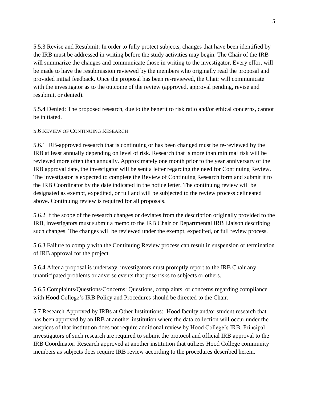5.5.3 Revise and Resubmit: In order to fully protect subjects, changes that have been identified by the IRB must be addressed in writing before the study activities may begin. The Chair of the IRB will summarize the changes and communicate those in writing to the investigator. Every effort will be made to have the resubmission reviewed by the members who originally read the proposal and provided initial feedback. Once the proposal has been re-reviewed, the Chair will communicate with the investigator as to the outcome of the review (approved, approval pending, revise and resubmit, or denied).

5.5.4 Denied: The proposed research, due to the benefit to risk ratio and/or ethical concerns, cannot be initiated.

## <span id="page-17-0"></span>5.6 REVIEW OF CONTINUING RESEARCH

5.6.1 IRB-approved research that is continuing or has been changed must be re-reviewed by the IRB at least annually depending on level of risk. Research that is more than minimal risk will be reviewed more often than annually. Approximately one month prior to the year anniversary of the IRB approval date, the investigator will be sent a letter regarding the need for Continuing Review. The investigator is expected to complete the Review of Continuing Research form and submit it to the IRB Coordinator by the date indicated in the notice letter. The continuing review will be designated as exempt, expedited, or full and will be subjected to the review process delineated above. Continuing review is required for all proposals.

5.6.2 If the scope of the research changes or deviates from the description originally provided to the IRB, investigators must submit a memo to the IRB Chair or Departmental IRB Liaison describing such changes. The changes will be reviewed under the exempt, expedited, or full review process.

5.6.3 Failure to comply with the Continuing Review process can result in suspension or termination of IRB approval for the project.

5.6.4 After a proposal is underway, investigators must promptly report to the IRB Chair any unanticipated problems or adverse events that pose risks to subjects or others.

5.6.5 Complaints/Questions/Concerns: Questions, complaints, or concerns regarding compliance with Hood College's IRB Policy and Procedures should be directed to the Chair.

5.7 Research Approved by IRBs at Other Institutions: Hood faculty and/or student research that has been approved by an IRB at another institution where the data collection will occur under the auspices of that institution does not require additional review by Hood College's IRB. Principal investigators of such research are required to submit the protocol and official IRB approval to the IRB Coordinator. Research approved at another institution that utilizes Hood College community members as subjects does require IRB review according to the procedures described herein.